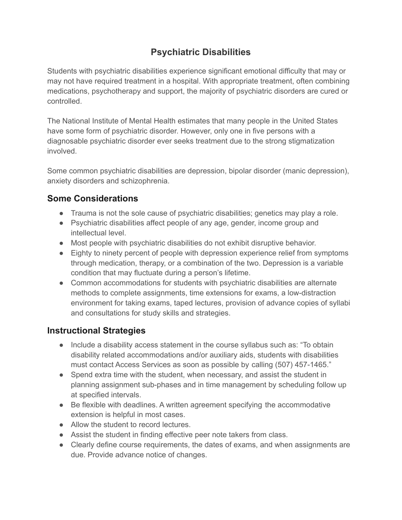## **Psychiatric Disabilities**

Students with psychiatric disabilities experience significant emotional difficulty that may or may not have required treatment in a hospital. With appropriate treatment, often combining medications, psychotherapy and support, the majority of psychiatric disorders are cured or controlled.

The National Institute of Mental Health estimates that many people in the United States have some form of psychiatric disorder. However, only one in five persons with a diagnosable psychiatric disorder ever seeks treatment due to the strong stigmatization involved.

Some common psychiatric disabilities are depression, bipolar disorder (manic depression), anxiety disorders and schizophrenia.

## **Some Considerations**

- Trauma is not the sole cause of psychiatric disabilities; genetics may play a role.
- Psychiatric disabilities affect people of any age, gender, income group and intellectual level.
- Most people with psychiatric disabilities do not exhibit disruptive behavior.
- Eighty to ninety percent of people with depression experience relief from symptoms through medication, therapy, or a combination of the two. Depression is a variable condition that may fluctuate during a person's lifetime.
- Common accommodations for students with psychiatric disabilities are alternate methods to complete assignments, time extensions for exams, a low-distraction environment for taking exams, taped lectures, provision of advance copies of syllabi and consultations for study skills and strategies.

## **Instructional Strategies**

- Include a disability access statement in the course syllabus such as: "To obtain disability related accommodations and/or auxiliary aids, students with disabilities must contact Access Services as soon as possible by calling (507) 457-1465."
- Spend extra time with the student, when necessary, and assist the student in planning assignment sub-phases and in time management by scheduling follow up at specified intervals.
- Be flexible with deadlines. A written agreement specifying the accommodative extension is helpful in most cases.
- Allow the student to record lectures.
- Assist the student in finding effective peer note takers from class.
- Clearly define course requirements, the dates of exams, and when assignments are due. Provide advance notice of changes.